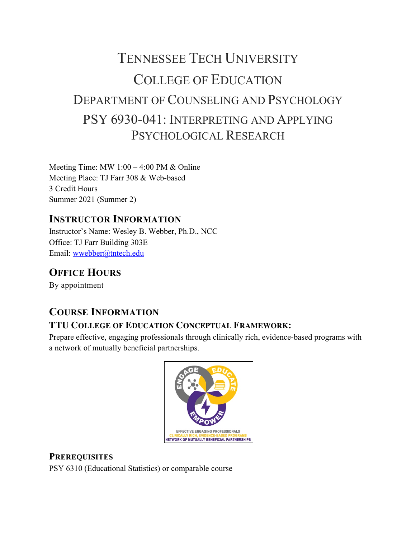# TENNESSEE TECH UNIVERSITY COLLEGE OF EDUCATION DEPARTMENT OF COUNSELING AND PSYCHOLOGY PSY 6930-041: INTERPRETING AND APPLYING PSYCHOLOGICAL RESEARCH

Meeting Time: MW 1:00 – 4:00 PM & Online Meeting Place: TJ Farr 308 & Web-based 3 Credit Hours Summer 2021 (Summer 2)

# **INSTRUCTOR INFORMATION**

Instructor's Name: Wesley B. Webber, Ph.D., NCC Office: TJ Farr Building 303E Email: wwebber@tntech.edu

# **OFFICE HOURS**

By appointment

# **COURSE INFORMATION**

# **TTU COLLEGE OF EDUCATION CONCEPTUAL FRAMEWORK:**

Prepare effective, engaging professionals through clinically rich, evidence-based programs with a network of mutually beneficial partnerships.



# **PREREQUISITES**

PSY 6310 (Educational Statistics) or comparable course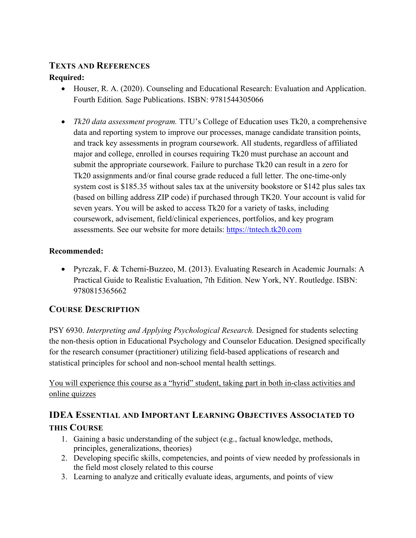### **TEXTS AND REFERENCES**

#### **Required:**

- Houser, R. A. (2020). Counseling and Educational Research: Evaluation and Application. Fourth Edition*.* Sage Publications. ISBN: 9781544305066
- *Tk20 data assessment program.* TTU's College of Education uses Tk20, a comprehensive data and reporting system to improve our processes, manage candidate transition points, and track key assessments in program coursework. All students, regardless of affiliated major and college, enrolled in courses requiring Tk20 must purchase an account and submit the appropriate coursework. Failure to purchase Tk20 can result in a zero for Tk20 assignments and/or final course grade reduced a full letter. The one-time-only system cost is \$185.35 without sales tax at the university bookstore or \$142 plus sales tax (based on billing address ZIP code) if purchased through TK20. Your account is valid for seven years. You will be asked to access Tk20 for a variety of tasks, including coursework, advisement, field/clinical experiences, portfolios, and key program assessments. See our website for more details: https://tntech.tk20.com

#### **Recommended:**

• Pyrczak, F. & Tcherni-Buzzeo, M. (2013). Evaluating Research in Academic Journals: A Practical Guide to Realistic Evaluation, 7th Edition. New York, NY. Routledge. ISBN: 9780815365662

### **COURSE DESCRIPTION**

PSY 6930. *Interpreting and Applying Psychological Research.* Designed for students selecting the non-thesis option in Educational Psychology and Counselor Education. Designed specifically for the research consumer (practitioner) utilizing field-based applications of research and statistical principles for school and non-school mental health settings.

#### You will experience this course as a "hyrid" student, taking part in both in-class activities and online quizzes

# **IDEA ESSENTIAL AND IMPORTANT LEARNING OBJECTIVES ASSOCIATED TO THIS COURSE**

- 1. Gaining a basic understanding of the subject (e.g., factual knowledge, methods, principles, generalizations, theories)
- 2. Developing specific skills, competencies, and points of view needed by professionals in the field most closely related to this course
- 3. Learning to analyze and critically evaluate ideas, arguments, and points of view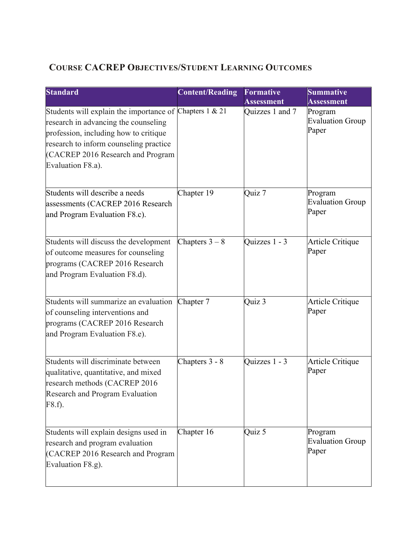# **COURSE CACREP OBJECTIVES/STUDENT LEARNING OUTCOMES**

| <b>Standard</b>                                                                                                                                                                                                                              | <b>Content/Reading</b> | <b>Formative</b><br><b>Assessment</b> | <b>Summative</b><br><b>Assessment</b>       |
|----------------------------------------------------------------------------------------------------------------------------------------------------------------------------------------------------------------------------------------------|------------------------|---------------------------------------|---------------------------------------------|
| Students will explain the importance of Chapters 1 & 21<br>research in advancing the counseling<br>profession, including how to critique<br>research to inform counseling practice<br>(CACREP 2016 Research and Program<br>Evaluation F8.a). |                        | Quizzes 1 and 7                       | Program<br><b>Evaluation Group</b><br>Paper |
| Students will describe a needs<br>assessments (CACREP 2016 Research<br>and Program Evaluation F8.c).                                                                                                                                         | Chapter 19             | Quiz 7                                | Program<br><b>Evaluation Group</b><br>Paper |
| Students will discuss the development<br>of outcome measures for counseling<br>programs (CACREP 2016 Research<br>and Program Evaluation F8.d).                                                                                               | Chapters $3-8$         | Quizzes 1 - 3                         | <b>Article Critique</b><br>Paper            |
| Students will summarize an evaluation<br>of counseling interventions and<br>programs (CACREP 2016 Research<br>and Program Evaluation F8.e).                                                                                                  | Chapter 7              | Quiz 3                                | Article Critique<br>Paper                   |
| Students will discriminate between<br>qualitative, quantitative, and mixed<br>research methods (CACREP 2016<br>Research and Program Evaluation<br>F8.f).                                                                                     | Chapters 3 - 8         | Quizzes 1 - 3                         | Article Critique<br>Paper                   |
| Students will explain designs used in<br>research and program evaluation<br>(CACREP 2016 Research and Program<br>Evaluation F8.g).                                                                                                           | Chapter 16             | Quiz 5                                | Program<br><b>Evaluation Group</b><br>Paper |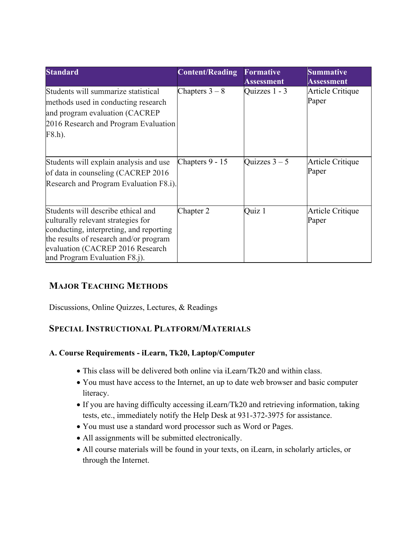| <b>Standard</b>                                                                                                                                                                                                                    | <b>Content/Reading</b> | <b>Formative</b><br><b>Assessment</b> | Summative<br><b>Assessment</b> |
|------------------------------------------------------------------------------------------------------------------------------------------------------------------------------------------------------------------------------------|------------------------|---------------------------------------|--------------------------------|
| Students will summarize statistical<br>methods used in conducting research<br>and program evaluation (CACREP<br>2016 Research and Program Evaluation<br>F8.h).                                                                     | Chapters $3-8$         | Quizzes 1 - 3                         | Article Critique<br>Paper      |
| Students will explain analysis and use<br>of data in counseling (CACREP 2016)<br>Research and Program Evaluation F8.i).                                                                                                            | Chapters 9 - 15        | Quizzes $3 - 5$                       | Article Critique<br>Paper      |
| Students will describe ethical and<br>culturally relevant strategies for<br>conducting, interpreting, and reporting<br>the results of research and/or program<br>evaluation (CACREP 2016 Research<br>and Program Evaluation F8.j). | Chapter 2              | Quiz 1                                | Article Critique<br>Paper      |

### **MAJOR TEACHING METHODS**

Discussions, Online Quizzes, Lectures, & Readings

#### **SPECIAL INSTRUCTIONAL PLATFORM/MATERIALS**

#### **A. Course Requirements - iLearn, Tk20, Laptop/Computer**

- This class will be delivered both online via iLearn/Tk20 and within class.
- You must have access to the Internet, an up to date web browser and basic computer literacy.
- If you are having difficulty accessing iLearn/Tk20 and retrieving information, taking tests, etc., immediately notify the Help Desk at 931-372-3975 for assistance.
- You must use a standard word processor such as Word or Pages.
- All assignments will be submitted electronically.
- All course materials will be found in your texts, on iLearn, in scholarly articles, or through the Internet.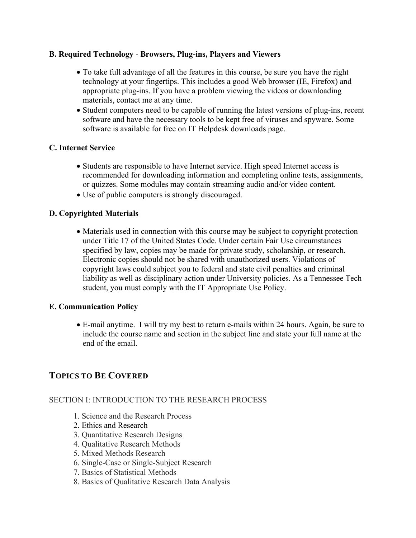#### **B. Required Technology** - **Browsers, Plug-ins, Players and Viewers**

- To take full advantage of all the features in this course, be sure you have the right technology at your fingertips. This includes a good Web browser (IE, Firefox) and appropriate plug-ins. If you have a problem viewing the videos or downloading materials, contact me at any time.
- Student computers need to be capable of running the latest versions of plug-ins, recent software and have the necessary tools to be kept free of viruses and spyware. Some software is available for free on IT Helpdesk downloads page.

#### **C. Internet Service**

- Students are responsible to have Internet service. High speed Internet access is recommended for downloading information and completing online tests, assignments, or quizzes. Some modules may contain streaming audio and/or video content.
- Use of public computers is strongly discouraged.

#### **D. Copyrighted Materials**

• Materials used in connection with this course may be subject to copyright protection under Title 17 of the United States Code. Under certain Fair Use circumstances specified by law, copies may be made for private study, scholarship, or research. Electronic copies should not be shared with unauthorized users. Violations of copyright laws could subject you to federal and state civil penalties and criminal liability as well as disciplinary action under University policies. As a Tennessee Tech student, you must comply with the IT Appropriate Use Policy.

#### **E. Communication Policy**

• E-mail anytime. I will try my best to return e-mails within 24 hours. Again, be sure to include the course name and section in the subject line and state your full name at the end of the email.

#### **TOPICS TO BE COVERED**

#### SECTION I: INTRODUCTION TO THE RESEARCH PROCESS

- 1. Science and the Research Process
- 2. Ethics and Research
- 3. Quantitative Research Designs
- 4. Qualitative Research Methods
- 5. Mixed Methods Research
- 6. Single-Case or Single-Subject Research
- 7. Basics of Statistical Methods
- 8. Basics of Qualitative Research Data Analysis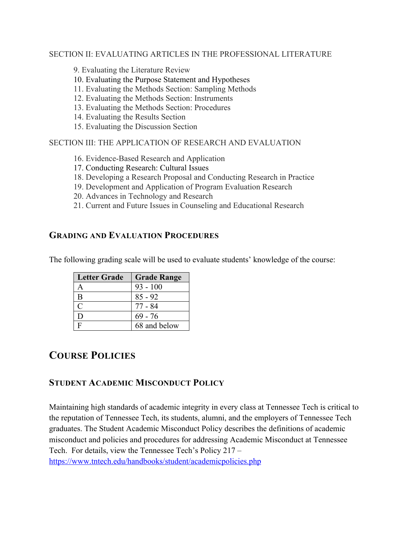#### SECTION II: EVALUATING ARTICLES IN THE PROFESSIONAL LITERATURE

9. Evaluating the Literature Review

- 10. Evaluating the Purpose Statement and Hypotheses
- 11. Evaluating the Methods Section: Sampling Methods
- 12. Evaluating the Methods Section: Instruments
- 13. Evaluating the Methods Section: Procedures
- 14. Evaluating the Results Section
- 15. Evaluating the Discussion Section

#### SECTION III: THE APPLICATION OF RESEARCH AND EVALUATION

- 16. Evidence-Based Research and Application
- 17. Conducting Research: Cultural Issues
- 18. Developing a Research Proposal and Conducting Research in Practice
- 19. Development and Application of Program Evaluation Research
- 20. Advances in Technology and Research
- 21. Current and Future Issues in Counseling and Educational Research

#### **GRADING AND EVALUATION PROCEDURES**

The following grading scale will be used to evaluate students' knowledge of the course:

| <b>Letter Grade</b> | <b>Grade Range</b> |
|---------------------|--------------------|
|                     | $93 - 100$         |
| B                   | $85 - 92$          |
| $\subset$           | 77 - 84            |
| I)                  | $69 - 76$          |
| Е                   | 68 and below       |

# **COURSE POLICIES**

#### **STUDENT ACADEMIC MISCONDUCT POLICY**

Maintaining high standards of academic integrity in every class at Tennessee Tech is critical to the reputation of Tennessee Tech, its students, alumni, and the employers of Tennessee Tech graduates. The Student Academic Misconduct Policy describes the definitions of academic misconduct and policies and procedures for addressing Academic Misconduct at Tennessee Tech. For details, view the Tennessee Tech's Policy 217 – https://www.tntech.edu/handbooks/student/academicpolicies.php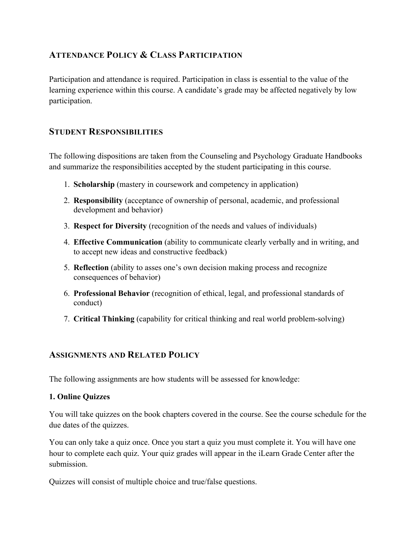#### **ATTENDANCE POLICY & CLASS PARTICIPATION**

Participation and attendance is required. Participation in class is essential to the value of the learning experience within this course. A candidate's grade may be affected negatively by low participation.

#### **STUDENT RESPONSIBILITIES**

The following dispositions are taken from the Counseling and Psychology Graduate Handbooks and summarize the responsibilities accepted by the student participating in this course.

- 1. **Scholarship** (mastery in coursework and competency in application)
- 2. **Responsibility** (acceptance of ownership of personal, academic, and professional development and behavior)
- 3. **Respect for Diversity** (recognition of the needs and values of individuals)
- 4. **Effective Communication** (ability to communicate clearly verbally and in writing, and to accept new ideas and constructive feedback)
- 5. **Reflection** (ability to asses one's own decision making process and recognize consequences of behavior)
- 6. **Professional Behavior** (recognition of ethical, legal, and professional standards of conduct)
- 7. **Critical Thinking** (capability for critical thinking and real world problem-solving)

#### **ASSIGNMENTS AND RELATED POLICY**

The following assignments are how students will be assessed for knowledge:

#### **1. Online Quizzes**

You will take quizzes on the book chapters covered in the course. See the course schedule for the due dates of the quizzes.

You can only take a quiz once. Once you start a quiz you must complete it. You will have one hour to complete each quiz. Your quiz grades will appear in the iLearn Grade Center after the submission.

Quizzes will consist of multiple choice and true/false questions.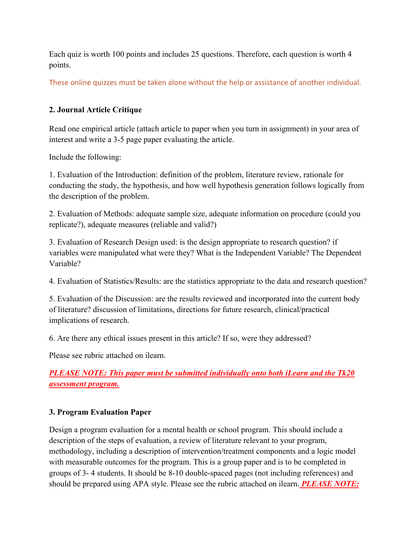Each quiz is worth 100 points and includes 25 questions. Therefore, each question is worth 4 points.

These online quizzes must be taken alone without the help or assistance of another individual.

#### **2. Journal Article Critique**

Read one empirical article (attach article to paper when you turn in assignment) in your area of interest and write a 3-5 page paper evaluating the article.

Include the following:

1. Evaluation of the Introduction: definition of the problem, literature review, rationale for conducting the study, the hypothesis, and how well hypothesis generation follows logically from the description of the problem.

2. Evaluation of Methods: adequate sample size, adequate information on procedure (could you replicate?), adequate measures (reliable and valid?)

3. Evaluation of Research Design used: is the design appropriate to research question? if variables were manipulated what were they? What is the Independent Variable? The Dependent Variable?

4. Evaluation of Statistics/Results: are the statistics appropriate to the data and research question?

5. Evaluation of the Discussion: are the results reviewed and incorporated into the current body of literature? discussion of limitations, directions for future research, clinical/practical implications of research.

6. Are there any ethical issues present in this article? If so, were they addressed?

Please see rubric attached on ilearn.

*PLEASE NOTE: This paper must be submitted individually onto both iLearn and the Tk20 assessment program.*

#### **3. Program Evaluation Paper**

Design a program evaluation for a mental health or school program. This should include a description of the steps of evaluation, a review of literature relevant to your program, methodology, including a description of intervention/treatment components and a logic model with measurable outcomes for the program. This is a group paper and is to be completed in groups of 3- 4 students. It should be 8-10 double-spaced pages (not including references) and should be prepared using APA style. Please see the rubric attached on ilearn. *PLEASE NOTE:*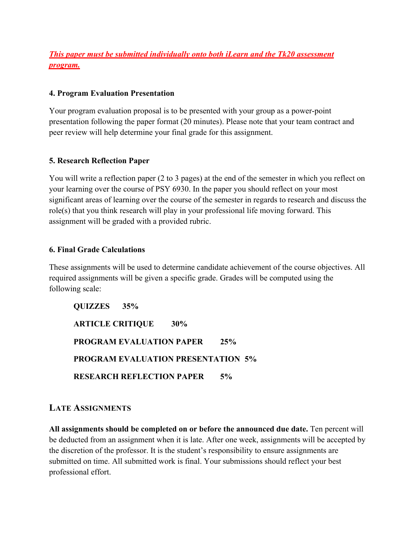### *This paper must be submitted individually onto both iLearn and the Tk20 assessment program.*

#### **4. Program Evaluation Presentation**

Your program evaluation proposal is to be presented with your group as a power-point presentation following the paper format (20 minutes). Please note that your team contract and peer review will help determine your final grade for this assignment.

#### **5. Research Reflection Paper**

You will write a reflection paper (2 to 3 pages) at the end of the semester in which you reflect on your learning over the course of PSY 6930. In the paper you should reflect on your most significant areas of learning over the course of the semester in regards to research and discuss the role(s) that you think research will play in your professional life moving forward. This assignment will be graded with a provided rubric.

#### **6. Final Grade Calculations**

These assignments will be used to determine candidate achievement of the course objectives. All required assignments will be given a specific grade. Grades will be computed using the following scale:

**QUIZZES 35% ARTICLE CRITIQUE 30% PROGRAM EVALUATION PAPER 25% PROGRAM EVALUATION PRESENTATION 5% RESEARCH REFLECTION PAPER 5%**

#### **LATE ASSIGNMENTS**

**All assignments should be completed on or before the announced due date.** Ten percent will be deducted from an assignment when it is late. After one week, assignments will be accepted by the discretion of the professor. It is the student's responsibility to ensure assignments are submitted on time. All submitted work is final. Your submissions should reflect your best professional effort.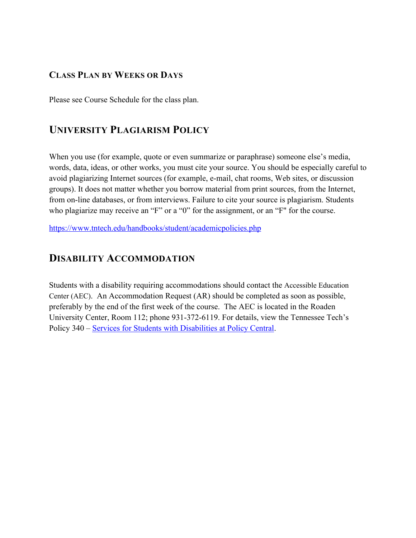#### **CLASS PLAN BY WEEKS OR DAYS**

Please see Course Schedule for the class plan.

# **UNIVERSITY PLAGIARISM POLICY**

When you use (for example, quote or even summarize or paraphrase) someone else's media, words, data, ideas, or other works, you must cite your source. You should be especially careful to avoid plagiarizing Internet sources (for example, e-mail, chat rooms, Web sites, or discussion groups). It does not matter whether you borrow material from print sources, from the Internet, from on-line databases, or from interviews. Failure to cite your source is plagiarism. Students who plagiarize may receive an "F" or a "0" for the assignment, or an "F" for the course.

https://www.tntech.edu/handbooks/student/academicpolicies.php

# **DISABILITY ACCOMMODATION**

Students with a disability requiring accommodations should contact the Accessible Education Center (AEC). An Accommodation Request (AR) should be completed as soon as possible, preferably by the end of the first week of the course. The AEC is located in the Roaden University Center, Room 112; phone 931-372-6119. For details, view the Tennessee Tech's Policy 340 – Services for Students with Disabilities at Policy Central.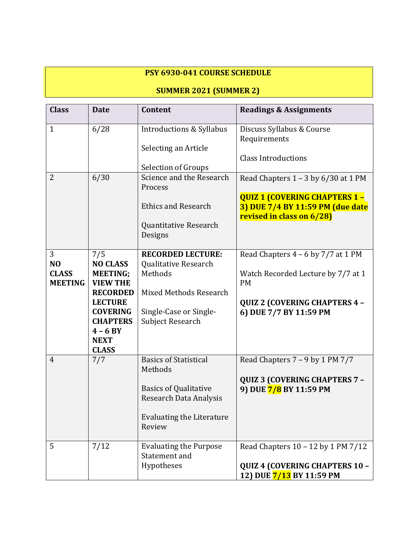### **PSY 6930-041 COURSE SCHEDULE**

# **SUMMER 2021 (SUMMER 2)**

| <b>Class</b>                                          | <b>Date</b>                                                                                                                                                                          | Content                                                                                                                                         | <b>Readings &amp; Assignments</b>                                                                                                                           |
|-------------------------------------------------------|--------------------------------------------------------------------------------------------------------------------------------------------------------------------------------------|-------------------------------------------------------------------------------------------------------------------------------------------------|-------------------------------------------------------------------------------------------------------------------------------------------------------------|
| $\mathbf{1}$                                          | 6/28                                                                                                                                                                                 | Introductions & Syllabus<br>Selecting an Article                                                                                                | Discuss Syllabus & Course<br>Requirements<br><b>Class Introductions</b>                                                                                     |
| $\overline{2}$                                        | 6/30                                                                                                                                                                                 | <b>Selection of Groups</b><br>Science and the Research<br>Process<br><b>Ethics and Research</b><br>Quantitative Research<br>Designs             | Read Chapters $1 - 3$ by $6/30$ at 1 PM<br><b>QUIZ 1 (COVERING CHAPTERS 1-</b><br>3) DUE 7/4 BY 11:59 PM (due date<br>revised in class on 6/28)             |
| 3<br>N <sub>O</sub><br><b>CLASS</b><br><b>MEETING</b> | 7/5<br><b>NO CLASS</b><br><b>MEETING;</b><br><b>VIEW THE</b><br><b>RECORDED</b><br><b>LECTURE</b><br><b>COVERING</b><br><b>CHAPTERS</b><br>$4 - 6 BY$<br><b>NEXT</b><br><b>CLASS</b> | <b>RECORDED LECTURE:</b><br>Qualitative Research<br>Methods<br>Mixed Methods Research<br>Single-Case or Single-<br><b>Subject Research</b>      | Read Chapters $4 - 6$ by $7/7$ at 1 PM<br>Watch Recorded Lecture by 7/7 at 1<br><b>PM</b><br><b>QUIZ 2 (COVERING CHAPTERS 4 -</b><br>6) DUE 7/7 BY 11:59 PM |
| $\overline{4}$                                        | 7/7                                                                                                                                                                                  | <b>Basics of Statistical</b><br>Methods<br><b>Basics of Qualitative</b><br>Research Data Analysis<br><b>Evaluating the Literature</b><br>Review | Read Chapters 7 - 9 by 1 PM 7/7<br><b>QUIZ 3 (COVERING CHAPTERS 7 -</b><br>9) DUE 7/8 BY 11:59 PM                                                           |
| 5                                                     | 7/12                                                                                                                                                                                 | <b>Evaluating the Purpose</b><br>Statement and<br>Hypotheses                                                                                    | Read Chapters 10 - 12 by 1 PM 7/12<br>QUIZ 4 (COVERING CHAPTERS 10 -<br>12) DUE 7/13 BY 11:59 PM                                                            |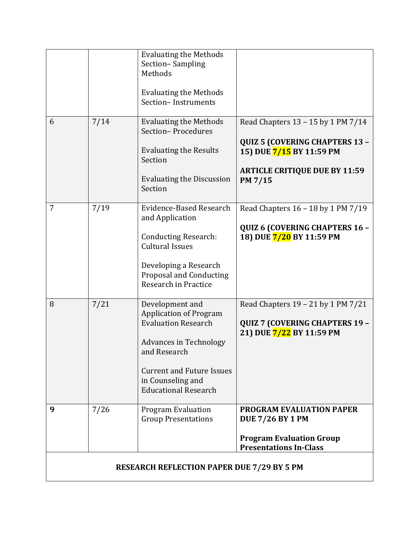|                                                   |      | <b>Evaluating the Methods</b><br>Section-Sampling<br>Methods<br><b>Evaluating the Methods</b><br>Section-Instruments                                                                                                    |                                                                                                                                                            |  |  |
|---------------------------------------------------|------|-------------------------------------------------------------------------------------------------------------------------------------------------------------------------------------------------------------------------|------------------------------------------------------------------------------------------------------------------------------------------------------------|--|--|
| 6                                                 | 7/14 | <b>Evaluating the Methods</b><br>Section-Procedures<br><b>Evaluating the Results</b><br>Section<br><b>Evaluating the Discussion</b><br>Section                                                                          | Read Chapters 13 - 15 by 1 PM 7/14<br><b>QUIZ 5 (COVERING CHAPTERS 13 -</b><br>15) DUE 7/15 BY 11:59 PM<br><b>ARTICLE CRITIQUE DUE BY 11:59</b><br>PM 7/15 |  |  |
| 7                                                 | 7/19 | Evidence-Based Research<br>and Application<br><b>Conducting Research:</b><br><b>Cultural Issues</b><br>Developing a Research<br><b>Proposal and Conducting</b><br>Research in Practice                                  | Read Chapters 16 - 18 by 1 PM 7/19<br>QUIZ 6 (COVERING CHAPTERS 16 -<br>18) DUE 7/20 BY 11:59 PM                                                           |  |  |
| 8                                                 | 7/21 | Development and<br><b>Application of Program</b><br><b>Evaluation Research</b><br><b>Advances in Technology</b><br>and Research<br><b>Current and Future Issues</b><br>in Counseling and<br><b>Educational Research</b> | Read Chapters 19 - 21 by 1 PM 7/21<br><b>QUIZ 7 (COVERING CHAPTERS 19 -</b><br>21) DUE 7/22 BY 11:59 PM                                                    |  |  |
| 9                                                 | 7/26 | <b>Program Evaluation</b><br><b>Group Presentations</b>                                                                                                                                                                 | <b>PROGRAM EVALUATION PAPER</b><br><b>DUE 7/26 BY 1 PM</b><br><b>Program Evaluation Group</b><br><b>Presentations In-Class</b>                             |  |  |
| <b>RESEARCH REFLECTION PAPER DUE 7/29 BY 5 PM</b> |      |                                                                                                                                                                                                                         |                                                                                                                                                            |  |  |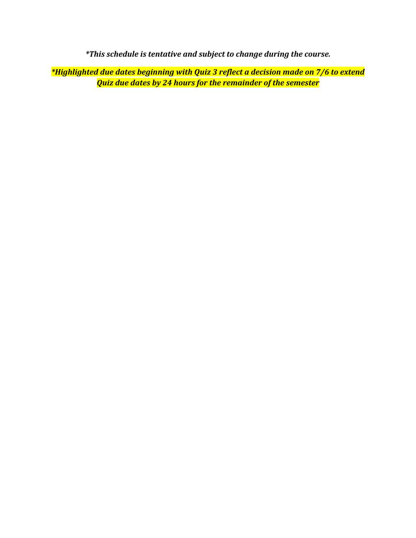*\*This schedule is tentative and subject to change during the course.* 

*\*Highlighted due dates beginning with Quiz 3 reflect a decision made on 7/6 to extend Quiz due dates by 24 hours for the remainder of the semester*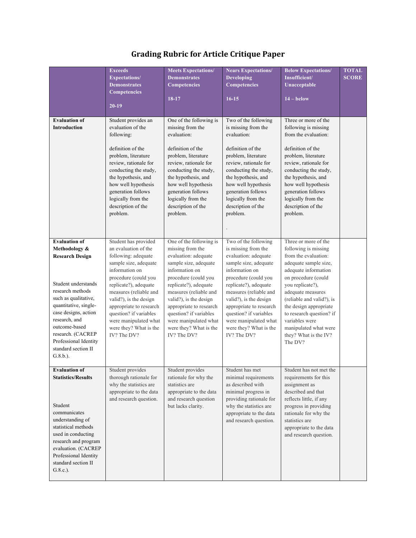| <b>Evaluation of</b><br><b>Introduction</b>                                                                                                                                                                                                                                                               | <b>Exceeds</b><br><b>Expectations/</b><br><b>Demonstrates</b><br><b>Competencies</b><br>$20-19$<br>Student provides an<br>evaluation of the<br>following:<br>definition of the<br>problem, literature<br>review, rationale for<br>conducting the study,<br>the hypothesis, and<br>how well hypothesis<br>generation follows<br>logically from the<br>description of the<br>problem. | <b>Meets Expectations/</b><br><b>Demonstrates</b><br><b>Competencies</b><br>18-17<br>One of the following is<br>missing from the<br>evaluation:<br>definition of the<br>problem, literature<br>review, rationale for<br>conducting the study,<br>the hypothesis, and<br>how well hypothesis<br>generation follows<br>logically from the<br>description of the<br>problem. | <b>Nears Expectations/</b><br><b>Developing</b><br><b>Competencies</b><br>$16-15$<br>Two of the following<br>is missing from the<br>evaluation:<br>definition of the<br>problem, literature<br>review, rationale for<br>conducting the study,<br>the hypothesis, and<br>how well hypothesis<br>generation follows<br>logically from the<br>description of the<br>problem. | <b>Below Expectations/</b><br>Insufficient/<br>Unacceptable<br>$14 -$ below<br>Three or more of the<br>following is missing<br>from the evaluation:<br>definition of the<br>problem, literature<br>review, rationale for<br>conducting the study,<br>the hypothesis, and<br>how well hypothesis<br>generation follows<br>logically from the<br>description of the<br>problem. | <b>TOTAL</b><br><b>SCORE</b> |
|-----------------------------------------------------------------------------------------------------------------------------------------------------------------------------------------------------------------------------------------------------------------------------------------------------------|-------------------------------------------------------------------------------------------------------------------------------------------------------------------------------------------------------------------------------------------------------------------------------------------------------------------------------------------------------------------------------------|---------------------------------------------------------------------------------------------------------------------------------------------------------------------------------------------------------------------------------------------------------------------------------------------------------------------------------------------------------------------------|---------------------------------------------------------------------------------------------------------------------------------------------------------------------------------------------------------------------------------------------------------------------------------------------------------------------------------------------------------------------------|-------------------------------------------------------------------------------------------------------------------------------------------------------------------------------------------------------------------------------------------------------------------------------------------------------------------------------------------------------------------------------|------------------------------|
| <b>Evaluation of</b><br>Methodology &<br><b>Research Design</b><br>Student understands<br>research methods<br>such as qualitative,<br>quantitative, single-<br>case designs, action<br>research, and<br>outcome-based<br>research. (CACREP<br>Professional Identity<br>standard section II<br>$G.8.b.$ ). | Student has provided<br>an evaluation of the<br>following: adequate<br>sample size, adequate<br>information on<br>procedure (could you<br>replicate?), adequate<br>measures (reliable and<br>valid?), is the design<br>appropriate to research<br>question? if variables<br>were manipulated what<br>were they? What is the<br>IV? The DV?                                          | One of the following is<br>missing from the<br>evaluation: adequate<br>sample size, adequate<br>information on<br>procedure (could you<br>replicate?), adequate<br>measures (reliable and<br>valid?), is the design<br>appropriate to research<br>question? if variables<br>were manipulated what<br>were they? What is the<br>IV? The DV?                                | Two of the following<br>is missing from the<br>evaluation: adequate<br>sample size, adequate<br>information on<br>procedure (could you<br>replicate?), adequate<br>measures (reliable and<br>valid?), is the design<br>appropriate to research<br>question? if variables<br>were manipulated what<br>were they? What is the<br>IV? The DV?                                | Three or more of the<br>following is missing<br>from the evaluation:<br>adequate sample size,<br>adequate information<br>on procedure (could<br>you replicate?),<br>adequate measures<br>(reliable and valid?), is<br>the design appropriate<br>to research question? if<br>variables were<br>manipulated what were<br>they? What is the IV?<br>The DV?                       |                              |
| <b>Evaluation of</b><br><b>Statistics/Results</b><br>Student<br>communicates<br>understanding of<br>statistical methods<br>used in conducting<br>research and program<br>evaluation. (CACREP<br>Professional Identity<br>standard section II<br>$G.8.c.$ ).                                               | Student provides<br>thorough rationale for<br>why the statistics are<br>appropriate to the data<br>and research question.                                                                                                                                                                                                                                                           | Student provides<br>rationale for why the<br>statistics are<br>appropriate to the data<br>and research question<br>but lacks clarity.                                                                                                                                                                                                                                     | Student has met<br>minimal requirements<br>as described with<br>minimal progress in<br>providing rationale for<br>why the statistics are<br>appropriate to the data<br>and research question.                                                                                                                                                                             | Student has not met the<br>requirements for this<br>assignment as<br>described and that<br>reflects little, if any<br>progress in providing<br>rationale for why the<br>statistics are<br>appropriate to the data<br>and research question.                                                                                                                                   |                              |

# **Grading Rubric for Article Critique Paper**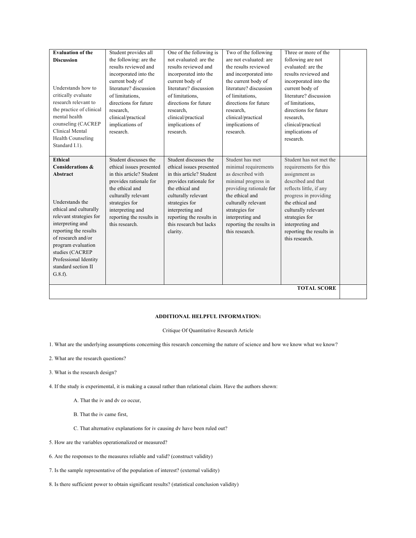| <b>Evaluation of the</b><br><b>Discussion</b><br>Understands how to<br>critically evaluate<br>research relevant to<br>the practice of clinical<br>mental health<br>counseling (CACREP<br>Clinical Mental<br>Health Counseling<br>Standard I.1).                                       | Student provides all<br>the following: are the<br>results reviewed and<br>incorporated into the<br>current body of<br>literature? discussion<br>of limitations.<br>directions for future<br>research.<br>clinical/practical<br>implications of<br>research. | One of the following is<br>not evaluated: are the<br>results reviewed and<br>incorporated into the<br>current body of<br>literature? discussion<br>of limitations,<br>directions for future<br>research.<br>clinical/practical<br>implications of<br>research. | Two of the following<br>are not evaluated: are<br>the results reviewed<br>and incorporated into<br>the current body of<br>literature? discussion<br>of limitations,<br>directions for future<br>research.<br>clinical/practical<br>implications of<br>research. | Three or more of the<br>following are not<br>evaluated: are the<br>results reviewed and<br>incorporated into the<br>current body of<br>literature? discussion<br>of limitations.<br>directions for future<br>research.<br>clinical/practical<br>implications of<br>research. |  |
|---------------------------------------------------------------------------------------------------------------------------------------------------------------------------------------------------------------------------------------------------------------------------------------|-------------------------------------------------------------------------------------------------------------------------------------------------------------------------------------------------------------------------------------------------------------|----------------------------------------------------------------------------------------------------------------------------------------------------------------------------------------------------------------------------------------------------------------|-----------------------------------------------------------------------------------------------------------------------------------------------------------------------------------------------------------------------------------------------------------------|------------------------------------------------------------------------------------------------------------------------------------------------------------------------------------------------------------------------------------------------------------------------------|--|
| Ethical<br>Considerations &<br>Abstract<br>Understands the<br>ethical and culturally<br>relevant strategies for<br>interpreting and<br>reporting the results<br>of research and/or<br>program evaluation<br>studies (CACREP<br>Professional Identity<br>standard section II<br>G.8.f. | Student discusses the<br>ethical issues presented<br>in this article? Student<br>provides rationale for<br>the ethical and<br>culturally relevant<br>strategies for<br>interpreting and<br>reporting the results in<br>this research.                       | Student discusses the<br>ethical issues presented<br>in this article? Student<br>provides rationale for<br>the ethical and<br>culturally relevant<br>strategies for<br>interpreting and<br>reporting the results in<br>this research but lacks<br>clarity.     | Student has met<br>minimal requirements<br>as described with<br>minimal progress in<br>providing rationale for<br>the ethical and<br>culturally relevant<br>strategies for<br>interpreting and<br>reporting the results in<br>this research.                    | Student has not met the<br>requirements for this<br>assignment as<br>described and that<br>reflects little, if any<br>progress in providing<br>the ethical and<br>culturally relevant<br>strategies for<br>interpreting and<br>reporting the results in<br>this research.    |  |
|                                                                                                                                                                                                                                                                                       |                                                                                                                                                                                                                                                             |                                                                                                                                                                                                                                                                |                                                                                                                                                                                                                                                                 | <b>TOTAL SCORE</b>                                                                                                                                                                                                                                                           |  |

#### **ADDITIONAL HELPFUL INFORMATION:**

#### Critique Of Quantitative Research Article

1. What are the underlying assumptions concerning this research concerning the nature of science and how we know what we know?

- 2. What are the research questions?
- 3. What is the research design?
- 4. If the study is experimental, it is making a causal rather than relational claim. Have the authors shown:
	- A. That the iv and dv co occur,
	- B. That the iv came first,
	- C. That alternative explanations for iv causing dv have been ruled out?
- 5. How are the variables operationalized or measured?
- 6. Are the responses to the measures reliable and valid? (construct validity)
- 7. Is the sample representative of the population of interest? (external validity)
- 8. Is there sufficient power to obtain significant results? (statistical conclusion validity)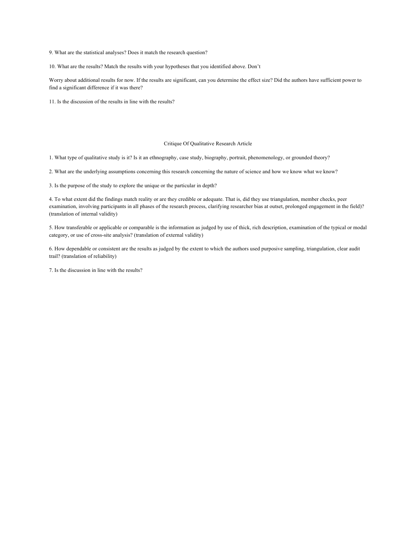9. What are the statistical analyses? Does it match the research question?

10. What are the results? Match the results with your hypotheses that you identified above. Don't

Worry about additional results for now. If the results are significant, can you determine the effect size? Did the authors have sufficient power to find a significant difference if it was there?

11. Is the discussion of the results in line with the results?

#### Critique Of Qualitative Research Article

1. What type of qualitative study is it? Is it an ethnography, case study, biography, portrait, phenomenology, or grounded theory?

2. What are the underlying assumptions concerning this research concerning the nature of science and how we know what we know?

3. Is the purpose of the study to explore the unique or the particular in depth?

4. To what extent did the findings match reality or are they credible or adequate. That is, did they use triangulation, member checks, peer examination, involving participants in all phases of the research process, clarifying researcher bias at outset, prolonged engagement in the field)? (translation of internal validity)

5. How transferable or applicable or comparable is the information as judged by use of thick, rich description, examination of the typical or modal category, or use of cross-site analysis? (translation of external validity)

6. How dependable or consistent are the results as judged by the extent to which the authors used purposive sampling, triangulation, clear audit trail? (translation of reliability)

7. Is the discussion in line with the results?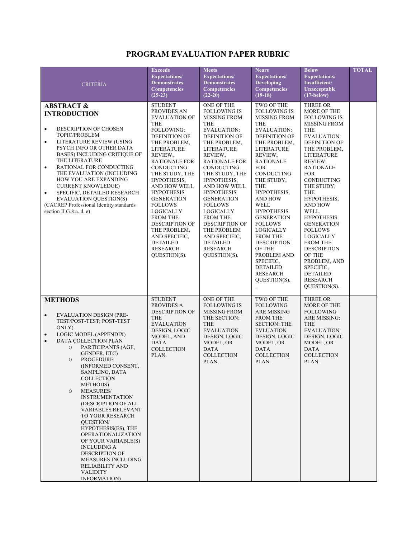### **PROGRAM EVALUATION PAPER RUBRIC**

| <b>CRITERIA</b>                                                                                                                                                                                                                                                                                                                                                                                                                                                                                                                                                                                                                                                                                            | <b>Exceeds</b><br><b>Expectations/</b><br><b>Demonstrates</b><br><b>Competencies</b><br>$(25-23)$                                                                                                                                                                                                                                                                                                                                                            | <b>Meets</b><br>Expectations/<br><b>Demonstrates</b><br><b>Competencies</b><br>$(22-20)$                                                                                                                                                                                                                                                                                                                                                                               | <b>Nears</b><br><b>Expectations/</b><br><b>Developing</b><br><b>Competencies</b><br>$(19-18)$                                                                                                                                                                                                                                                                                                                                                                                                                            | <b>Below</b><br>Expectations/<br>Insufficient/<br>Unacceptable<br>$(17 - below)$                                                                                                                                                                                                                                                                                                                                                                                                                               | <b>TOTAL</b> |
|------------------------------------------------------------------------------------------------------------------------------------------------------------------------------------------------------------------------------------------------------------------------------------------------------------------------------------------------------------------------------------------------------------------------------------------------------------------------------------------------------------------------------------------------------------------------------------------------------------------------------------------------------------------------------------------------------------|--------------------------------------------------------------------------------------------------------------------------------------------------------------------------------------------------------------------------------------------------------------------------------------------------------------------------------------------------------------------------------------------------------------------------------------------------------------|------------------------------------------------------------------------------------------------------------------------------------------------------------------------------------------------------------------------------------------------------------------------------------------------------------------------------------------------------------------------------------------------------------------------------------------------------------------------|--------------------------------------------------------------------------------------------------------------------------------------------------------------------------------------------------------------------------------------------------------------------------------------------------------------------------------------------------------------------------------------------------------------------------------------------------------------------------------------------------------------------------|----------------------------------------------------------------------------------------------------------------------------------------------------------------------------------------------------------------------------------------------------------------------------------------------------------------------------------------------------------------------------------------------------------------------------------------------------------------------------------------------------------------|--------------|
| <b>ABSTRACT &amp;</b><br><b>INTRODUCTION</b><br>DESCRIPTION OF CHOSEN<br>$\bullet$<br>TOPIC/PROBLEM<br>LITERATURE REVIEW (USING<br>$\bullet$<br>PSYCH INFO OR OTHER DATA<br><b>BASES) INCLUDING CRITIQUE OF</b><br>THE LITERATURE<br>RATIONAL FOR CONDUCTING<br>$\bullet$<br>THE EVALUATION (INCLUDING<br>HOW YOU ARE EXPANDING<br><b>CURRENT KNOWLEDGE)</b><br>SPECIFIC, DETAILED RESEARCH<br>$\bullet$<br><b>EVALUATION QUESTION(S)</b><br>(CACREP Professional Identity standards<br>section II G.8.a. d, e).                                                                                                                                                                                           | <b>STUDENT</b><br>PROVIDES AN<br><b>EVALUATION OF</b><br><b>THE</b><br>FOLLOWING:<br><b>DEFINITION OF</b><br>THE PROBLEM,<br><b>LITERATURE</b><br>REVIEW,<br><b>RATIONALE FOR</b><br>CONDUCTING<br>THE STUDY, THE<br>HYPOTHESIS,<br>AND HOW WELL<br><b>HYPOTHESIS</b><br><b>GENERATION</b><br><b>FOLLOWS</b><br>LOGICALLY<br><b>FROM THE</b><br><b>DESCRIPTION OF</b><br>THE PROBLEM,<br>AND SPECIFIC,<br><b>DETAILED</b><br><b>RESEARCH</b><br>QUESTION(S). | ONE OF THE<br><b>FOLLOWING IS</b><br><b>MISSING FROM</b><br><b>THE</b><br>EVALUATION:<br><b>DEFINITION OF</b><br>THE PROBLEM,<br><b>LITERATURE</b><br>REVIEW,<br><b>RATIONALE FOR</b><br>CONDUCTING<br>THE STUDY, THE<br>HYPOTHESIS,<br>AND HOW WELL<br><b>HYPOTHESIS</b><br><b>GENERATION</b><br><b>FOLLOWS</b><br><b>LOGICALLY</b><br><b>FROM THE</b><br><b>DESCRIPTION OF</b><br>THE PROBLEM<br>AND SPECIFIC,<br><b>DETAILED</b><br><b>RESEARCH</b><br>QUESTION(S). | TWO OF THE<br><b>FOLLOWING IS</b><br><b>MISSING FROM</b><br><b>THE</b><br><b>EVALUATION:</b><br><b>DEFINITION OF</b><br>THE PROBLEM,<br>LITERATURE<br>REVIEW,<br><b>RATIONALE</b><br><b>FOR</b><br>CONDUCTING<br>THE STUDY,<br>THE<br>HYPOTHESIS,<br><b>AND HOW</b><br><b>WELL</b><br><b>HYPOTHESIS</b><br><b>GENERATION</b><br><b>FOLLOWS</b><br>LOGICALLY<br><b>FROM THE</b><br><b>DESCRIPTION</b><br>OF THE<br>PROBLEM AND<br>SPECIFIC,<br><b>DETAILED</b><br><b>RESEARCH</b><br>QUESTION(S).<br>$\ddot{\phantom{0}}$ | THREE OR<br>MORE OF THE<br><b>FOLLOWING IS</b><br><b>MISSING FROM</b><br>THE<br><b>EVALUATION:</b><br><b>DEFINITION OF</b><br>THE PROBLEM.<br>LITERATURE<br>REVIEW,<br><b>RATIONALE</b><br><b>FOR</b><br>CONDUCTING<br>THE STUDY,<br>THE<br>HYPOTHESIS,<br><b>AND HOW</b><br>WELL<br><b>HYPOTHESIS</b><br><b>GENERATION</b><br><b>FOLLOWS</b><br><b>LOGICALLY</b><br><b>FROM THE</b><br><b>DESCRIPTION</b><br><b>OF THE</b><br>PROBLEM, AND<br>SPECIFIC,<br><b>DETAILED</b><br><b>RESEARCH</b><br>QUESTION(S). |              |
| <b>METHODS</b><br><b>EVALUATION DESIGN (PRE-</b><br>$\bullet$<br>TEST/POST-TEST; POST-TEST<br>ONLY)<br>LOGIC MODEL (APPENDIX)<br>$\bullet$<br>DATA COLLECTION PLAN<br>$\bullet$<br>PARTICIPANTS (AGE,<br>$\circ$<br>GENDER, ETC)<br><b>PROCEDURE</b><br>$\circ$<br>(INFORMED CONSENT,<br>SAMPLING, DATA<br><b>COLLECTION</b><br>METHODS)<br><b>MEASURES/</b><br>$\circ$<br><b>INSTRUMENTATION</b><br>(DESCRIPTION OF ALL<br><b>VARIABLES RELEVANT</b><br>TO YOUR RESEARCH<br><b>OUESTION/</b><br>HYPOTHESIS(ES), THE<br><b>OPERATIONALIZATION</b><br>OF YOUR VARIABLE(S)<br><b>INCLUDING A</b><br><b>DESCRIPTION OF</b><br><b>MEASURES INCLUDING</b><br>RELIABILITY AND<br><b>VALIDITY</b><br>INFORMATION) | <b>STUDENT</b><br>PROVIDES A<br><b>DESCRIPTION OF</b><br><b>THE</b><br><b>EVALUATION</b><br>DESIGN, LOGIC<br>MODEL, AND<br>DATA<br><b>COLLECTION</b><br>PLAN.                                                                                                                                                                                                                                                                                                | ONE OF THE<br><b>FOLLOWING IS</b><br><b>MISSING FROM</b><br>THE SECTION:<br><b>THE</b><br><b>EVALUATION</b><br>DESIGN, LOGIC<br>MODEL, OR<br><b>DATA</b><br><b>COLLECTION</b><br>PLAN.                                                                                                                                                                                                                                                                                 | TWO OF THE<br><b>FOLLOWING</b><br><b>ARE MISSING</b><br><b>FROM THE</b><br><b>SECTION: THE</b><br><b>EVLUATION</b><br>DESIGN, LOGIC<br>MODEL, OR<br><b>DATA</b><br><b>COLLECTION</b><br>PLAN.                                                                                                                                                                                                                                                                                                                            | THREE OR<br>MORE OF THE<br><b>FOLLOWING</b><br><b>ARE MISSING:</b><br><b>THE</b><br><b>EVALUATION</b><br>DESIGN, LOGIC<br>MODEL, OR<br>DATA<br><b>COLLECTION</b><br>PLAN.                                                                                                                                                                                                                                                                                                                                      |              |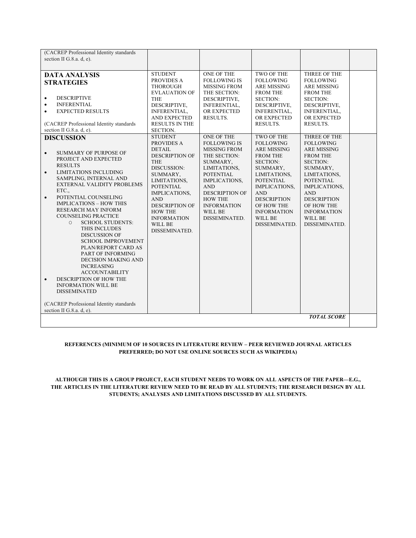| (CACREP Professional Identity standards<br>section II G.8.a. d, e).                                                                                                                                                                                                                                                                                                                                                                                                                                                                                           |                                                                                                                                                                                                                                                                                 |                                                                                                                                                                                                                                                      |                                                                                                                                                                                                                                                          |                                                                                                                                                                                                                                                                   |  |
|---------------------------------------------------------------------------------------------------------------------------------------------------------------------------------------------------------------------------------------------------------------------------------------------------------------------------------------------------------------------------------------------------------------------------------------------------------------------------------------------------------------------------------------------------------------|---------------------------------------------------------------------------------------------------------------------------------------------------------------------------------------------------------------------------------------------------------------------------------|------------------------------------------------------------------------------------------------------------------------------------------------------------------------------------------------------------------------------------------------------|----------------------------------------------------------------------------------------------------------------------------------------------------------------------------------------------------------------------------------------------------------|-------------------------------------------------------------------------------------------------------------------------------------------------------------------------------------------------------------------------------------------------------------------|--|
| <b>DATA ANALYSIS</b><br><b>STRATEGIES</b><br><b>DESCRIPTIVE</b><br>$\bullet$<br><b>INFERENTIAL</b><br>٠<br><b>EXPECTED RESULTS</b><br>$\bullet$<br>(CACREP Professional Identity standards<br>section II G.8.a. d, e).                                                                                                                                                                                                                                                                                                                                        | <b>STUDENT</b><br>PROVIDES A<br><b>THOROUGH</b><br><b>EVLAUATION OF</b><br>THE<br>DESCRIPTIVE,<br>INFERENTIAL,<br>AND EXPECTED<br><b>RESULTS IN THE</b><br>SECTION.                                                                                                             | ONE OF THE<br><b>FOLLOWING IS</b><br><b>MISSING FROM</b><br>THE SECTION:<br>DESCRIPTIVE,<br><b>INFERENTIAL.</b><br>OR EXPECTED<br>RESULTS.                                                                                                           | TWO OF THE<br><b>FOLLOWING</b><br>ARE MISSING<br><b>FROM THE</b><br><b>SECTION:</b><br>DESCRIPTIVE,<br>INFERENTIAL,<br>OR EXPECTED<br>RESULTS.                                                                                                           | THREE OF THE<br><b>FOLLOWING</b><br>ARE MISSING<br><b>FROM THE</b><br><b>SECTION:</b><br>DESCRIPTIVE,<br>INFERENTIAL,<br>OR EXPECTED<br>RESULTS.                                                                                                                  |  |
| <b>DISCUSSION</b><br>SUMMARY OF PURPOSE OF<br>$\bullet$<br>PROJECT AND EXPECTED<br><b>RESULTS</b><br><b>LIMITATIONS INCLUDING</b><br>$\bullet$<br>SAMPLING, INTERNAL AND<br>EXTERNAL VALIDITY PROBLEMS<br>ETC.,<br>POTENTIAL COUNSELING<br>$\bullet$<br><b>IMPLICATIONS - HOW THIS</b><br><b>RESEARCH MAY INFORM</b><br><b>COUNSELING PRACTICE</b><br><b>SCHOOL STUDENTS:</b><br>$\circ$<br>THIS INCLUDES<br><b>DISCUSSION OF</b><br><b>SCHOOL IMPROVEMENT</b><br>PLAN/REPORT CARD AS<br>PART OF INFORMING<br><b>DECISION MAKING AND</b><br><b>INCREASING</b> | <b>STUDENT</b><br>PROVIDES A<br><b>DETAIL</b><br><b>DESCRIPTION OF</b><br><b>THE</b><br>DISCUSSION:<br>SUMMARY,<br>LIMITATIONS,<br><b>POTENTIAL</b><br>IMPLICATIONS,<br><b>AND</b><br><b>DESCRIPTION OF</b><br><b>HOW THE</b><br><b>INFORMATION</b><br>WILL BE<br>DISSEMINATED. | ONE OF THE<br><b>FOLLOWING IS</b><br><b>MISSING FROM</b><br>THE SECTION:<br>SUMMARY,<br>LIMITATIONS,<br><b>POTENTIAL</b><br>IMPLICATIONS,<br><b>AND</b><br><b>DESCRIPTION OF</b><br><b>HOW THE</b><br><b>INFORMATION</b><br>WILL BE<br>DISSEMINATED. | TWO OF THE<br><b>FOLLOWING</b><br>ARE MISSING<br><b>FROM THE</b><br><b>SECTION:</b><br>SUMMARY,<br>LIMITATIONS,<br><b>POTENTIAL</b><br>IMPLICATIONS,<br><b>AND</b><br><b>DESCRIPTION</b><br>OF HOW THE<br><b>INFORMATION</b><br>WILL BE<br>DISSEMINATED. | THREE OF THE<br><b>FOLLOWING</b><br><b>ARE MISSING</b><br><b>FROM THE</b><br><b>SECTION:</b><br>SUMMARY,<br>LIMITATIONS,<br><b>POTENTIAL</b><br>IMPLICATIONS,<br><b>AND</b><br><b>DESCRIPTION</b><br>OF HOW THE<br><b>INFORMATION</b><br>WILL BE<br>DISSEMINATED. |  |
| <b>ACCOUNTABILITY</b><br>DESCRIPTION OF HOW THE<br>$\bullet$<br><b>INFORMATION WILL BE</b><br><b>DISSEMINATED</b><br>(CACREP Professional Identity standards<br>section II G.8.a. d, e).                                                                                                                                                                                                                                                                                                                                                                      |                                                                                                                                                                                                                                                                                 |                                                                                                                                                                                                                                                      |                                                                                                                                                                                                                                                          |                                                                                                                                                                                                                                                                   |  |
|                                                                                                                                                                                                                                                                                                                                                                                                                                                                                                                                                               |                                                                                                                                                                                                                                                                                 |                                                                                                                                                                                                                                                      |                                                                                                                                                                                                                                                          | <b>TOTAL SCORE</b>                                                                                                                                                                                                                                                |  |

#### **REFERENCES (MINIMUM OF 10 SOURCES IN LITERATURE REVIEW – PEER REVIEWED JOURNAL ARTICLES PREFERRED; DO NOT USE ONLINE SOURCES SUCH AS WIKIPEDIA)**

**ALTHOUGH THIS IS A GROUP PROJECT, EACH STUDENT NEEDS TO WORK ON ALL ASPECTS OF THE PAPER—E.G., THE ARTICLES IN THE LITERATURE REVIEW NEED TO BE READ BY ALL STUDENTS; THE RESEARCH DESIGN BY ALL STUDENTS; ANALYSES AND LIMITATIONS DISCUSSED BY ALL STUDENTS.**